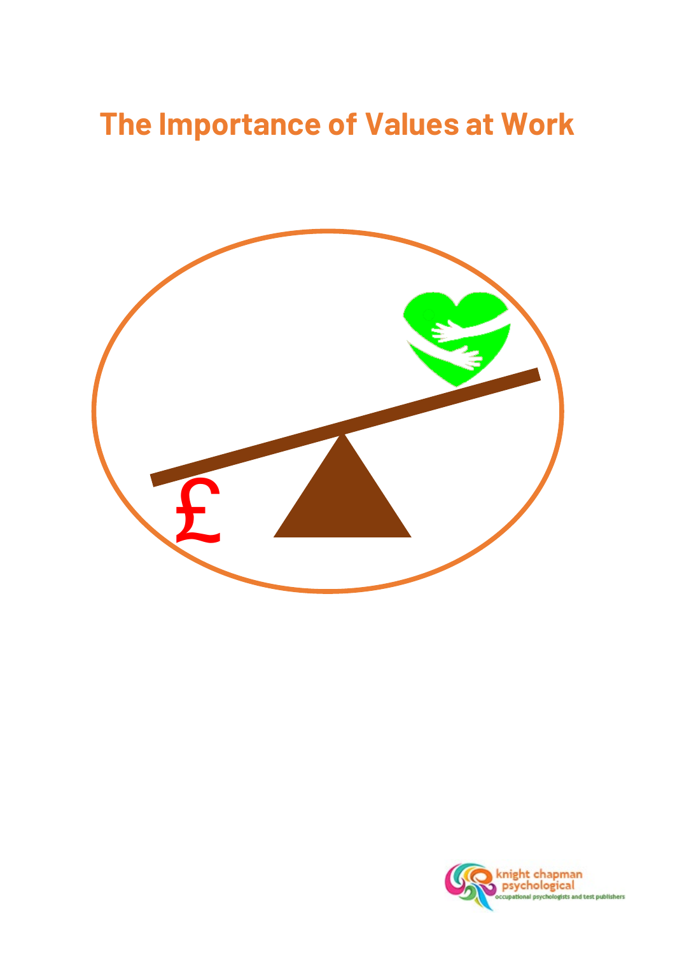# **The Importance of Values at Work**



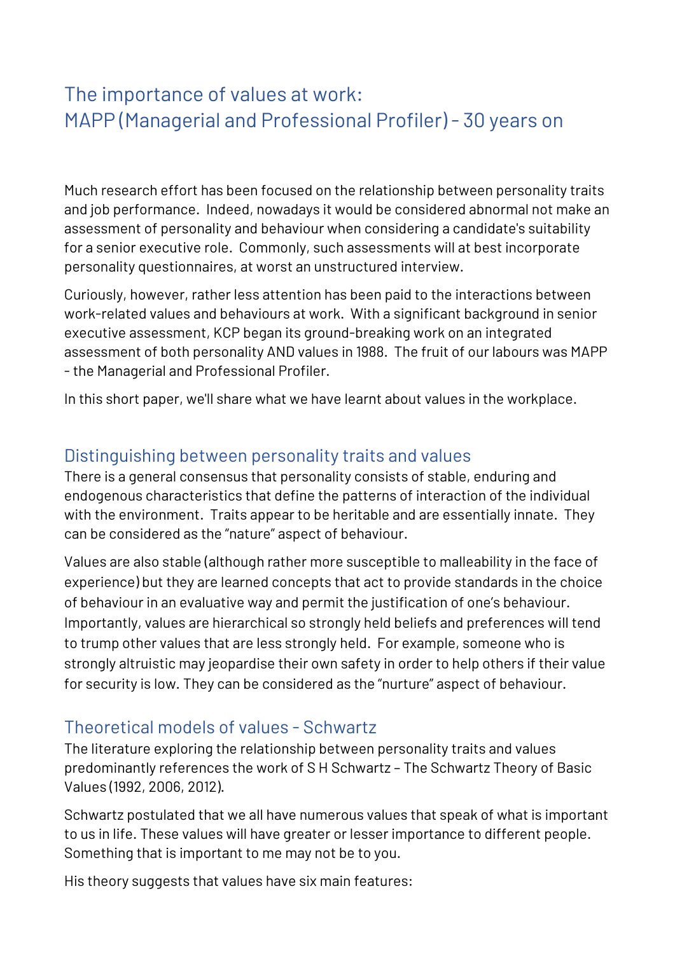## The importance of values at work: MAPP (Managerial and Professional Profiler) - 30 years on

Much research effort has been focused on the relationship between personality traits and job performance. Indeed, nowadays it would be considered abnormal not make an assessment of personality and behaviour when considering a candidate's suitability for a senior executive role. Commonly, such assessments will at best incorporate personality questionnaires, at worst an unstructured interview.

Curiously, however, rather less attention has been paid to the interactions between work-related values and behaviours at work. With a significant background in senior executive assessment, KCP began its ground-breaking work on an integrated assessment of both personality AND values in 1988. The fruit of our labours was MAPP - the Managerial and Professional Profiler.

In this short paper, we'll share what we have learnt about values in the workplace.

#### Distinguishing between personality traits and values

There is a general consensus that personality consists of stable, enduring and endogenous characteristics that define the patterns of interaction of the individual with the environment. Traits appear to be heritable and are essentially innate. They can be considered as the "nature" aspect of behaviour.

Values are also stable (although rather more susceptible to malleability in the face of experience) but they are learned concepts that act to provide standards in the choice of behaviour in an evaluative way and permit the justification of one's behaviour. Importantly, values are hierarchical so strongly held beliefs and preferences will tend to trump other values that are less strongly held. For example, someone who is strongly altruistic may jeopardise their own safety in order to help others if their value for security is low. They can be considered as the "nurture" aspect of behaviour.

#### Theoretical models of values - Schwartz

The literature exploring the relationship between personality traits and values predominantly references the work of S H Schwartz – The Schwartz Theory of Basic Values (1992, 2006, 2012).

Schwartz postulated that we all have numerous values that speak of what is important to us in life. These values will have greater or lesser importance to different people. Something that is important to me may not be to you.

His theory suggests that values have six main features: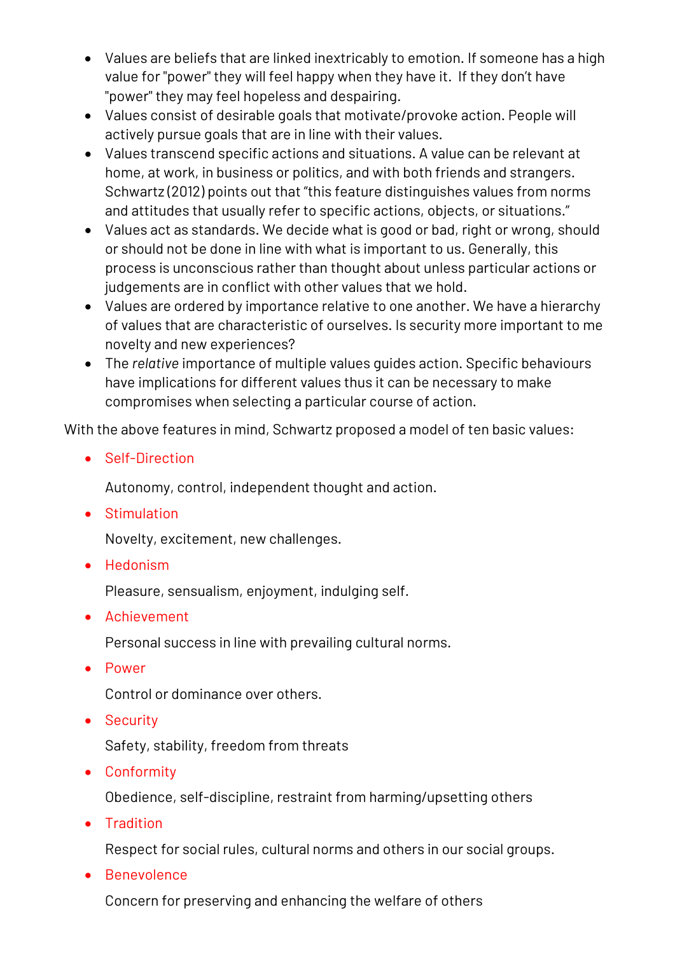- Values are beliefs that are linked inextricably to emotion. If someone has a high value for "power" they will feel happy when they have it. If they don't have "power" they may feel hopeless and despairing.
- Values consist of desirable goals that motivate/provoke action. People will actively pursue goals that are in line with their values.
- Values transcend specific actions and situations. A value can be relevant at home, at work, in business or politics, and with both friends and strangers. Schwartz (2012) points out that "this feature distinguishes values from norms and attitudes that usually refer to specific actions, objects, or situations."
- Values act as standards. We decide what is good or bad, right or wrong, should or should not be done in line with what is important to us. Generally, this process is unconscious rather than thought about unless particular actions or judgements are in conflict with other values that we hold.
- Values are ordered by importance relative to one another. We have a hierarchy of values that are characteristic of ourselves. Is security more important to me novelty and new experiences?
- The *relative* importance of multiple values guides action. Specific behaviours have implications for different values thus it can be necessary to make compromises when selecting a particular course of action.

With the above features in mind, Schwartz proposed a model of ten basic values:

• Self-Direction

Autonomy, control, independent thought and action.

• Stimulation

Novelty, excitement, new challenges.

• Hedonism

Pleasure, sensualism, enjoyment, indulging self.

• Achievement

Personal success in line with prevailing cultural norms.

• Power

Control or dominance over others.

• Security

Safety, stability, freedom from threats

• Conformity

Obedience, self-discipline, restraint from harming/upsetting others

• Tradition

[Respect](http://changingminds.org/explanations/needs/respect.htm) for social rules, cultural norms and others in our social groups.

• Benevolence

Concern for preserving and enhancing the welfare of others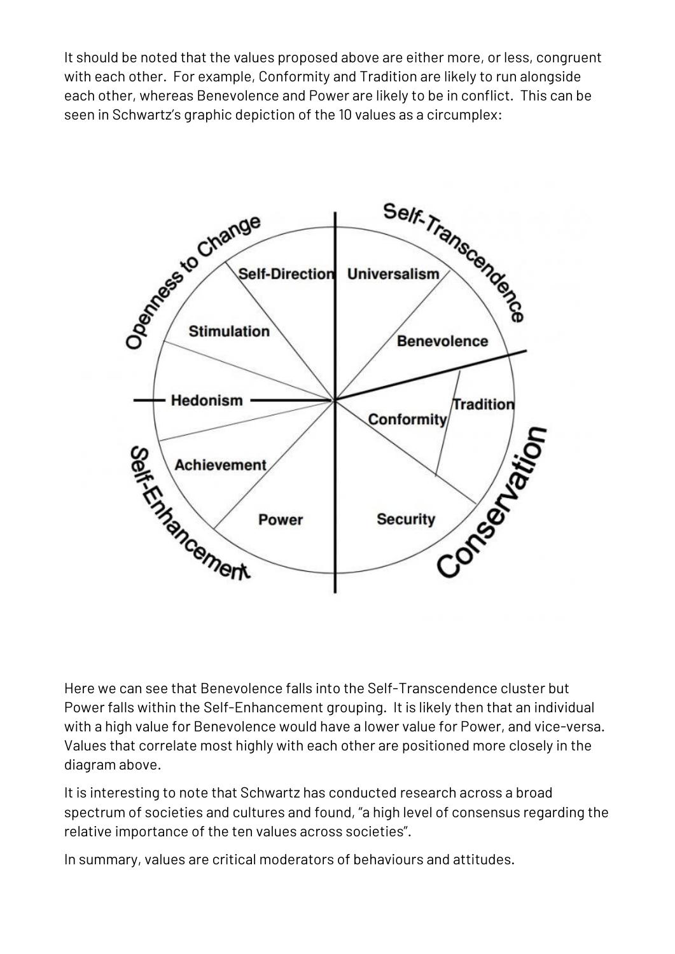It should be noted that the values proposed above are either more, or less, congruent with each other. For example, Conformity and Tradition are likely to run alongside each other, whereas Benevolence and Power are likely to be in conflict. This can be seen in Schwartz's graphic depiction of the 10 values as a circumplex:



Here we can see that Benevolence falls into the Self-Transcendence cluster but Power falls within the Self-Enhancement grouping. It is likely then that an individual with a high value for Benevolence would have a lower value for Power, and vice-versa. Values that correlate most highly with each other are positioned more closely in the diagram above.

It is interesting to note that Schwartz has conducted research across a broad spectrum of societies and cultures and found, "a high level of consensus regarding the relative importance of the ten values across societies".

In summary, values are critical moderators of behaviours and attitudes.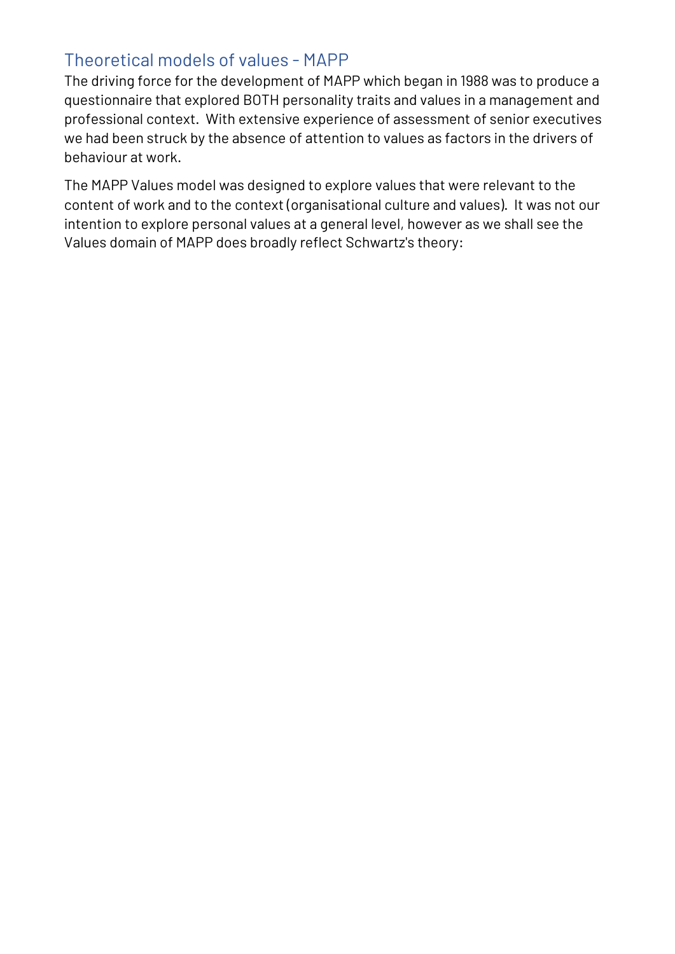## Theoretical models of values - MAPP

The driving force for the development of MAPP which began in 1988 was to produce a questionnaire that explored BOTH personality traits and values in a management and professional context. With extensive experience of assessment of senior executives we had been struck by the absence of attention to values as factors in the drivers of behaviour at work.

The MAPP Values model was designed to explore values that were relevant to the content of work and to the context (organisational culture and values). It was not our intention to explore personal values at a general level, however as we shall see the Values domain of MAPP does broadly reflect Schwartz's theory: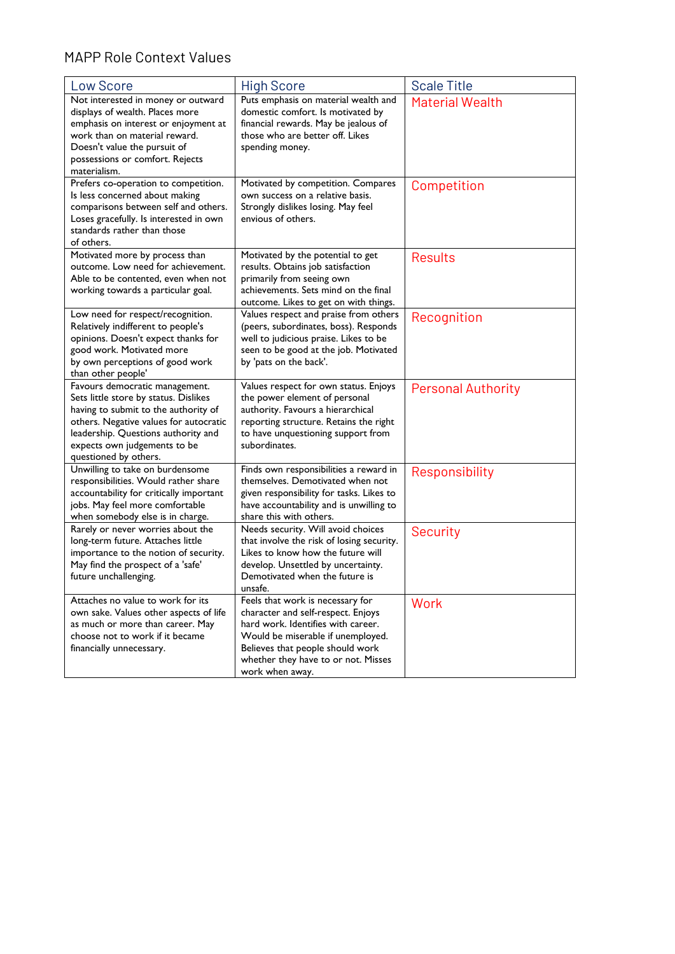#### MAPP Role Context Values

| Low Score                                                                                                                                                                                                                                                 | <b>High Score</b>                                                                                                                                                                                                                               | <b>Scale Title</b>        |
|-----------------------------------------------------------------------------------------------------------------------------------------------------------------------------------------------------------------------------------------------------------|-------------------------------------------------------------------------------------------------------------------------------------------------------------------------------------------------------------------------------------------------|---------------------------|
| Not interested in money or outward<br>displays of wealth. Places more<br>emphasis on interest or enjoyment at<br>work than on material reward.<br>Doesn't value the pursuit of<br>possessions or comfort. Rejects<br>materialism.                         | Puts emphasis on material wealth and<br>domestic comfort. Is motivated by<br>financial rewards. May be jealous of<br>those who are better off. Likes<br>spending money.                                                                         | <b>Material Wealth</b>    |
| Prefers co-operation to competition.<br>Is less concerned about making<br>comparisons between self and others.<br>Loses gracefully. Is interested in own<br>standards rather than those<br>of others.                                                     | Motivated by competition. Compares<br>own success on a relative basis.<br>Strongly dislikes losing. May feel<br>envious of others.                                                                                                              | Competition               |
| Motivated more by process than<br>outcome. Low need for achievement.<br>Able to be contented, even when not<br>working towards a particular goal.                                                                                                         | Motivated by the potential to get<br>results. Obtains job satisfaction<br>primarily from seeing own<br>achievements. Sets mind on the final<br>outcome. Likes to get on with things.                                                            | <b>Results</b>            |
| Low need for respect/recognition.<br>Relatively indifferent to people's<br>opinions. Doesn't expect thanks for<br>good work. Motivated more<br>by own perceptions of good work<br>than other people'                                                      | Values respect and praise from others<br>(peers, subordinates, boss). Responds<br>well to judicious praise. Likes to be<br>seen to be good at the job. Motivated<br>by 'pats on the back'.                                                      | Recognition               |
| Favours democratic management.<br>Sets little store by status. Dislikes<br>having to submit to the authority of<br>others. Negative values for autocratic<br>leadership. Questions authority and<br>expects own judgements to be<br>questioned by others. | Values respect for own status. Enjoys<br>the power element of personal<br>authority. Favours a hierarchical<br>reporting structure. Retains the right<br>to have unquestioning support from<br>subordinates.                                    | <b>Personal Authority</b> |
| Unwilling to take on burdensome<br>responsibilities. Would rather share<br>accountability for critically important<br>jobs. May feel more comfortable<br>when somebody else is in charge.                                                                 | Finds own responsibilities a reward in<br>themselves. Demotivated when not<br>given responsibility for tasks. Likes to<br>have accountability and is unwilling to<br>share this with others.                                                    | Responsibility            |
| Rarely or never worries about the<br>long-term future. Attaches little<br>importance to the notion of security.<br>May find the prospect of a 'safe'<br>future unchallenging.                                                                             | Needs security. Will avoid choices<br>that involve the risk of losing security.<br>Likes to know how the future will<br>develop. Unsettled by uncertainty.<br>Demotivated when the future is<br>unsafe.                                         | Security                  |
| Attaches no value to work for its<br>own sake. Values other aspects of life<br>as much or more than career. May<br>choose not to work if it became<br>financially unnecessary.                                                                            | Feels that work is necessary for<br>character and self-respect. Enjoys<br>hard work. Identifies with career.<br>Would be miserable if unemployed.<br>Believes that people should work<br>whether they have to or not. Misses<br>work when away. | Work                      |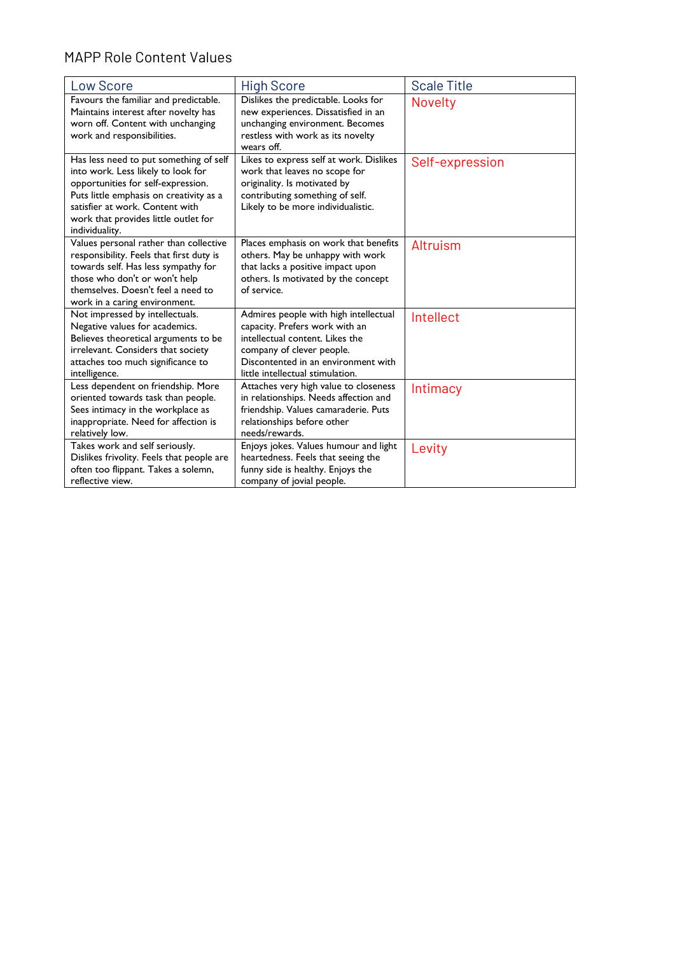#### MAPP Role Content Values

| Low Score                                                                                                                                                                                                                                                  | <b>High Score</b>                                                                                                                                                                                                  | <b>Scale Title</b> |
|------------------------------------------------------------------------------------------------------------------------------------------------------------------------------------------------------------------------------------------------------------|--------------------------------------------------------------------------------------------------------------------------------------------------------------------------------------------------------------------|--------------------|
| Favours the familiar and predictable.<br>Maintains interest after novelty has<br>worn off. Content with unchanging<br>work and responsibilities.                                                                                                           | Dislikes the predictable. Looks for<br>new experiences. Dissatisfied in an<br>unchanging environment. Becomes<br>restless with work as its novelty<br>wears off.                                                   | <b>Novelty</b>     |
| Has less need to put something of self<br>into work. Less likely to look for<br>opportunities for self-expression.<br>Puts little emphasis on creativity as a<br>satisfier at work. Content with<br>work that provides little outlet for<br>individuality. | Likes to express self at work. Dislikes<br>work that leaves no scope for<br>originality. Is motivated by<br>contributing something of self.<br>Likely to be more individualistic.                                  | Self-expression    |
| Values personal rather than collective<br>responsibility. Feels that first duty is<br>towards self. Has less sympathy for<br>those who don't or won't help<br>themselves. Doesn't feel a need to<br>work in a caring environment.                          | Places emphasis on work that benefits<br>others. May be unhappy with work<br>that lacks a positive impact upon<br>others. Is motivated by the concept<br>of service.                                               | Altruism           |
| Not impressed by intellectuals.<br>Negative values for academics.<br>Believes theoretical arguments to be<br>irrelevant. Considers that society<br>attaches too much significance to<br>intelligence.                                                      | Admires people with high intellectual<br>capacity. Prefers work with an<br>intellectual content. Likes the<br>company of clever people.<br>Discontented in an environment with<br>little intellectual stimulation. | Intellect          |
| Less dependent on friendship. More<br>oriented towards task than people.<br>Sees intimacy in the workplace as<br>inappropriate. Need for affection is<br>relatively low.                                                                                   | Attaches very high value to closeness<br>in relationships. Needs affection and<br>friendship. Values camaraderie. Puts<br>relationships before other<br>needs/rewards.                                             | Intimacy           |
| Takes work and self seriously.<br>Dislikes frivolity. Feels that people are<br>often too flippant. Takes a solemn,<br>reflective view.                                                                                                                     | Enjoys jokes. Values humour and light<br>heartedness. Feels that seeing the<br>funny side is healthy. Enjoys the<br>company of jovial people.                                                                      | Levity             |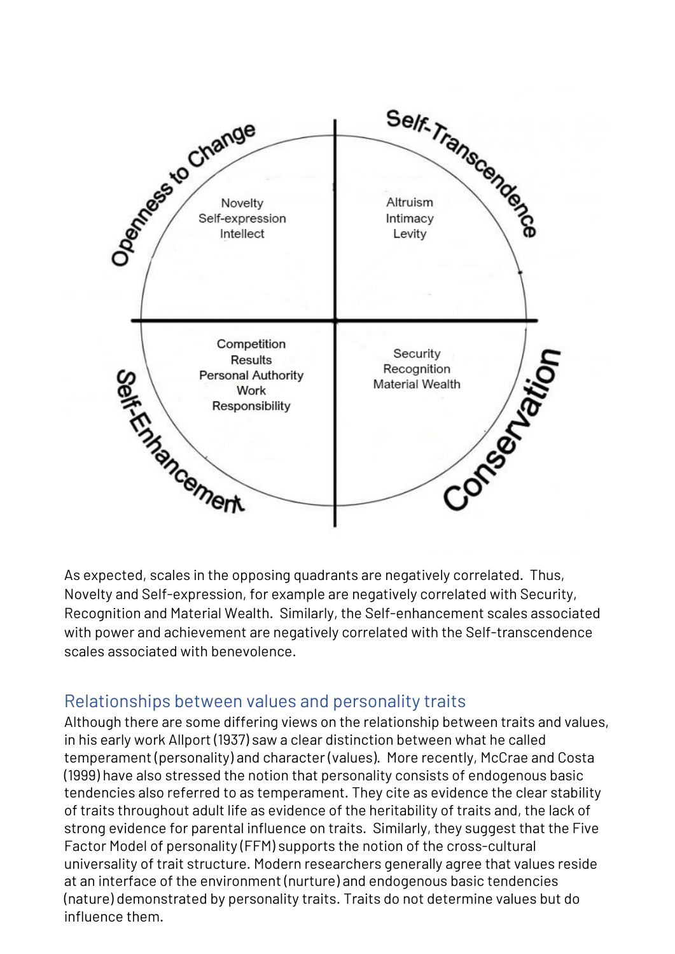

As expected, scales in the opposing quadrants are negatively correlated. Thus, Novelty and Self-expression, for example are negatively correlated with Security, Recognition and Material Wealth. Similarly, the Self-enhancement scales associated with power and achievement are negatively correlated with the Self-transcendence scales associated with benevolence.

## Relationships between values and personality traits

Although there are some differing views on the relationship between traits and values, in his early work Allport (1937) saw a clear distinction between what he called temperament (personality) and character (values). More recently, McCrae and Costa (1999) have also stressed the notion that personality consists of endogenous basic tendencies also referred to as temperament. They cite as evidence the clear stability of traits throughout adult life as evidence of the heritability of traits and, the lack of strong evidence for parental influence on traits. Similarly, they suggest that the Five Factor Model of personality (FFM) supports the notion of the cross-cultural universality of trait structure. Modern researchers generally agree that values reside at an interface of the environment (nurture) and endogenous basic tendencies (nature) demonstrated by personality traits. Traits do not determine values but do influence them.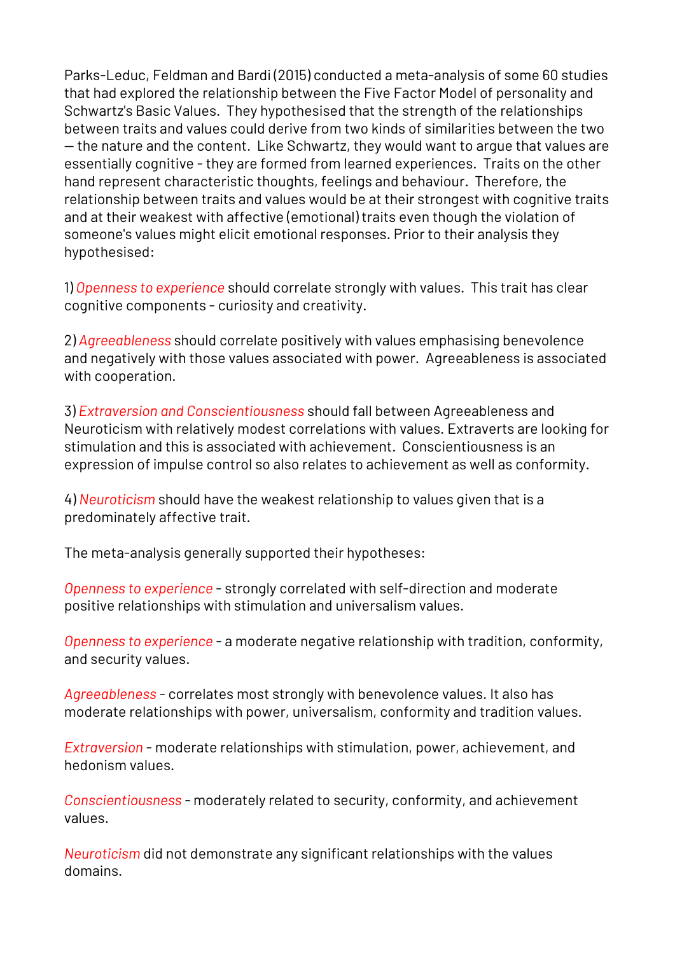Parks-Leduc, Feldman and Bardi (2015) conducted a meta-analysis of some 60 studies that had explored the relationship between the Five Factor Model of personality and Schwartz's Basic Values. They hypothesised that the strength of the relationships between traits and values could derive from two kinds of similarities between the two — the nature and the content. Like Schwartz, they would want to argue that values are essentially cognitive - they are formed from learned experiences. Traits on the other hand represent characteristic thoughts, feelings and behaviour. Therefore, the relationship between traits and values would be at their strongest with cognitive traits and at their weakest with affective (emotional) traits even though the violation of someone's values might elicit emotional responses. Prior to their analysis they hypothesised:

1) *Openness to experience* should correlate strongly with values. This trait has clear cognitive components - curiosity and creativity.

2) *Agreeableness* should correlate positively with values emphasising benevolence and negatively with those values associated with power. Agreeableness is associated with cooperation.

3) *Extraversion and Conscientiousness* should fall between Agreeableness and Neuroticism with relatively modest correlations with values. Extraverts are looking for stimulation and this is associated with achievement. Conscientiousness is an expression of impulse control so also relates to achievement as well as conformity.

4) *Neuroticism* should have the weakest relationship to values given that is a predominately affective trait.

The meta-analysis generally supported their hypotheses:

*Openness to experience* - strongly correlated with self-direction and moderate positive relationships with stimulation and universalism values.

*Openness to experience* - a moderate negative relationship with tradition, conformity, and security values.

*Agreeableness* - correlates most strongly with benevolence values. It also has moderate relationships with power, universalism, conformity and tradition values.

*Extraversion* - moderate relationships with stimulation, power, achievement, and hedonism values.

*Conscientiousness* - moderately related to security, conformity, and achievement values.

*Neuroticism* did not demonstrate any significant relationships with the values domains.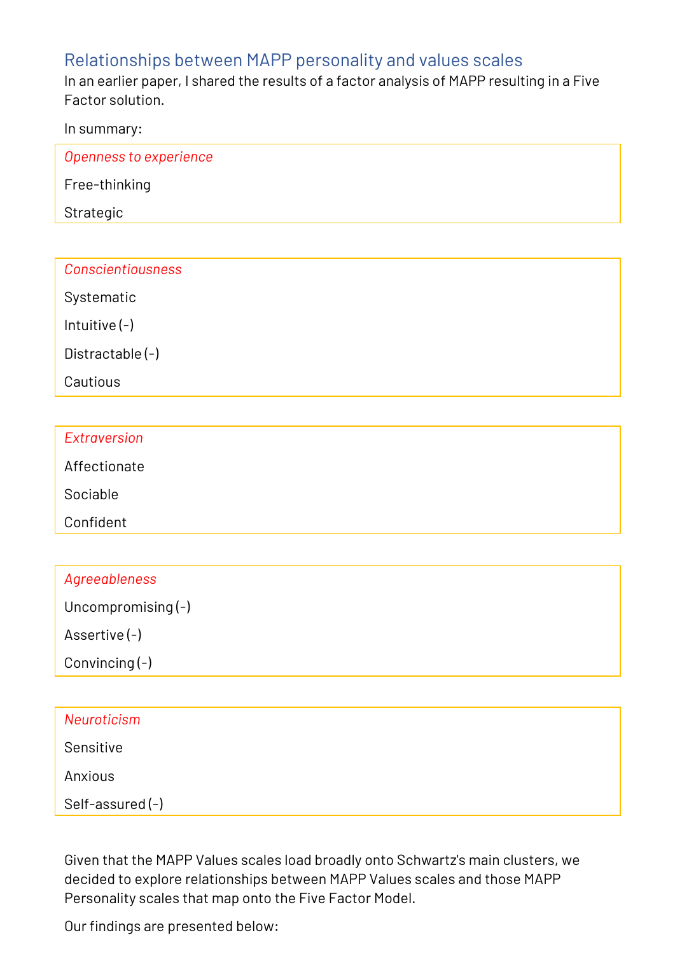## Relationships between MAPP personality and values scales

In an earlier paper, I shared the results of a factor analysis of MAPP resulting in a Five Factor solution.

In summary:

| Openness to experience |  |
|------------------------|--|
| Free-thinking          |  |
| Strategic              |  |
|                        |  |

| <b>Conscientiousness</b> |  |  |
|--------------------------|--|--|
|                          |  |  |

Systematic

Intuitive (-)

Distractable (-)

Cautious

| Extraversion |  |
|--------------|--|
| Affectionate |  |
| Sociable     |  |
| Confident    |  |

| Agreeableness |  |  |
|---------------|--|--|
|               |  |  |

Uncompromising (-)

Assertive (-)

Convincing (-)

| Neuroticism     |  |
|-----------------|--|
| Sensitive       |  |
| Anxious         |  |
| Self-assured(-) |  |

Given that the MAPP Values scales load broadly onto Schwartz's main clusters, we decided to explore relationships between MAPP Values scales and those MAPP Personality scales that map onto the Five Factor Model.

Our findings are presented below: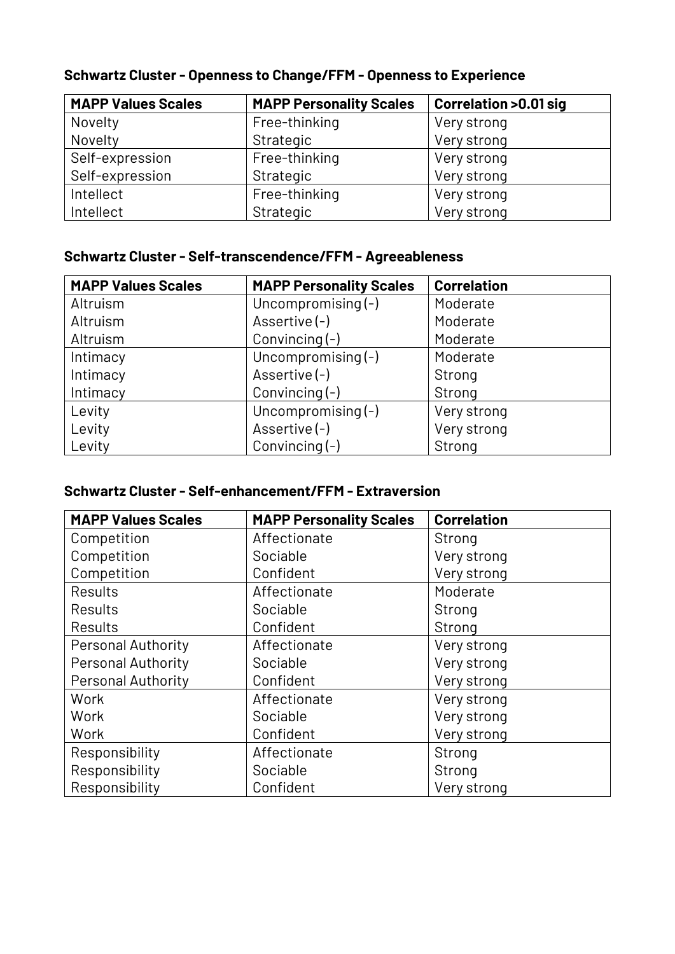| <b>MAPP Values Scales</b> | <b>MAPP Personality Scales</b> | <b>Correlation &gt;0.01 sig</b> |
|---------------------------|--------------------------------|---------------------------------|
| Novelty                   | Free-thinking                  | Very strong                     |
| Novelty                   | Strategic                      | Very strong                     |
| Self-expression           | Free-thinking                  | Very strong                     |
| Self-expression           | Strategic                      | Very strong                     |
| Intellect                 | Free-thinking                  | Very strong                     |
| Intellect                 | Strategic                      | Very strong                     |

## **Schwartz Cluster - Openness to Change/FFM - Openness to Experience**

## **Schwartz Cluster - Self-transcendence/FFM - Agreeableness**

| <b>MAPP Values Scales</b> | <b>MAPP Personality Scales</b> | <b>Correlation</b> |
|---------------------------|--------------------------------|--------------------|
| Altruism                  | Uncompromising (-)             | Moderate           |
| Altruism                  | Assertive (-)                  | Moderate           |
| Altruism                  | Convincing $(-)$               | Moderate           |
| Intimacy                  | Uncompromising (-)             | Moderate           |
| Intimacy                  | Assertive (-)                  | Strong             |
| Intimacy                  | Convincing $(-)$               | Strong             |
| Levity                    | Uncompromising $(-)$           | Very strong        |
| Levity                    | Assertive (-)                  | Very strong        |
| Levity                    | Convincing $(-)$               | Strong             |

#### **Schwartz Cluster - Self-enhancement/FFM - Extraversion**

| <b>MAPP Values Scales</b> | <b>MAPP Personality Scales</b> | <b>Correlation</b> |
|---------------------------|--------------------------------|--------------------|
| Competition               | Affectionate                   | Strong             |
| Competition               | Sociable                       | Very strong        |
| Competition               | Confident                      | Very strong        |
| <b>Results</b>            | Affectionate                   | Moderate           |
| <b>Results</b>            | Sociable                       | Strong             |
| <b>Results</b>            | Confident                      | Strong             |
| <b>Personal Authority</b> | Affectionate                   | Very strong        |
| <b>Personal Authority</b> | Sociable                       | Very strong        |
| <b>Personal Authority</b> | Confident                      | Very strong        |
| Work                      | Affectionate                   | Very strong        |
| Work                      | Sociable                       | Very strong        |
| Work                      | Confident                      | Very strong        |
| Responsibility            | Affectionate                   | Strong             |
| Responsibility            | Sociable                       | Strong             |
| Responsibility            | Confident                      | Very strong        |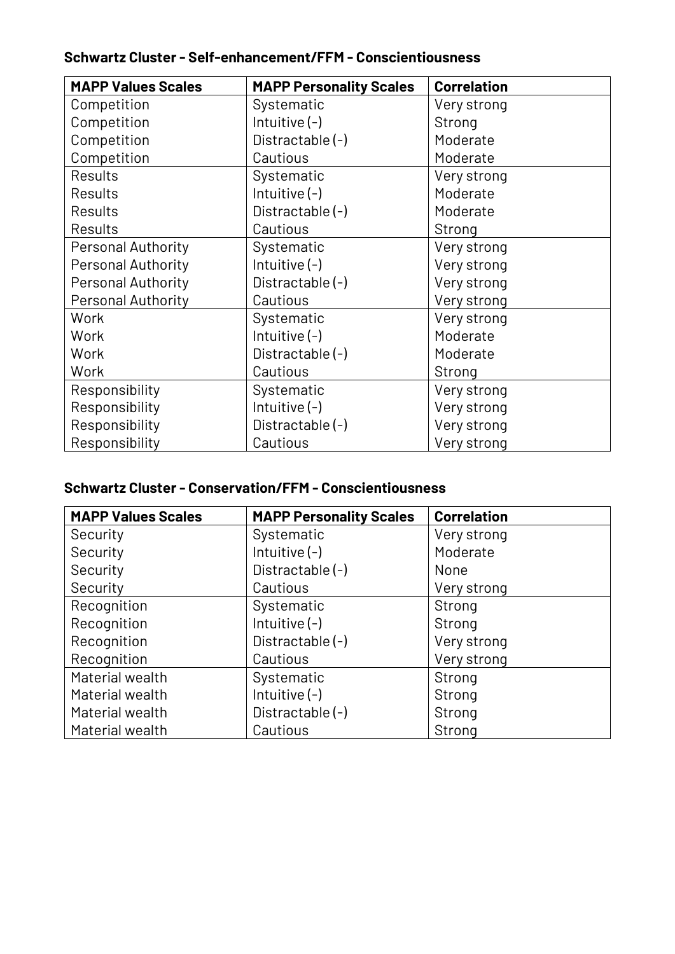| <b>MAPP Values Scales</b> | <b>MAPP Personality Scales</b> | <b>Correlation</b> |
|---------------------------|--------------------------------|--------------------|
| Competition               | Systematic                     | Very strong        |
| Competition               | Intuitive $(-)$                | Strong             |
| Competition               | Distractable (-)               | Moderate           |
| Competition               | Cautious                       | Moderate           |
| <b>Results</b>            | Systematic                     | Very strong        |
| <b>Results</b>            | Intuitive $(-)$                | Moderate           |
| <b>Results</b>            | Distractable (-)               | Moderate           |
| <b>Results</b>            | Cautious                       | Strong             |
| <b>Personal Authority</b> | Systematic                     | Very strong        |
| <b>Personal Authority</b> | Intuitive $(-)$                | Very strong        |
| <b>Personal Authority</b> | Distractable (-)               | Very strong        |
| <b>Personal Authority</b> | Cautious                       | Very strong        |
| Work                      | Systematic                     | Very strong        |
| Work                      | Intuitive $(-)$                | Moderate           |
| Work                      | Distractable (-)               | Moderate           |
| Work                      | Cautious                       | Strong             |
| Responsibility            | Systematic                     | Very strong        |
| Responsibility            | Intuitive $(-)$                | Very strong        |
| Responsibility            | Distractable (-)               | Very strong        |
| Responsibility            | Cautious                       | Very strong        |

#### **Schwartz Cluster - Self-enhancement/FFM - Conscientiousness**

#### **Schwartz Cluster - Conservation/FFM - Conscientiousness**

| <b>MAPP Values Scales</b> | <b>MAPP Personality Scales</b> | <b>Correlation</b> |
|---------------------------|--------------------------------|--------------------|
| Security                  | Systematic                     | Very strong        |
| Security                  | Intuitive $(-)$                | Moderate           |
| Security                  | Distractable (-)               | None               |
| Security                  | Cautious                       | Very strong        |
| Recognition               | Systematic                     | Strong             |
| Recognition               | Intuitive $(-)$                | Strong             |
| Recognition               | Distractable (-)               | Very strong        |
| Recognition               | Cautious                       | Very strong        |
| Material wealth           | Systematic                     | Strong             |
| Material wealth           | Intuitive $(-)$                | Strong             |
| Material wealth           | Distractable (-)               | Strong             |
| Material wealth           | Cautious                       | Strong             |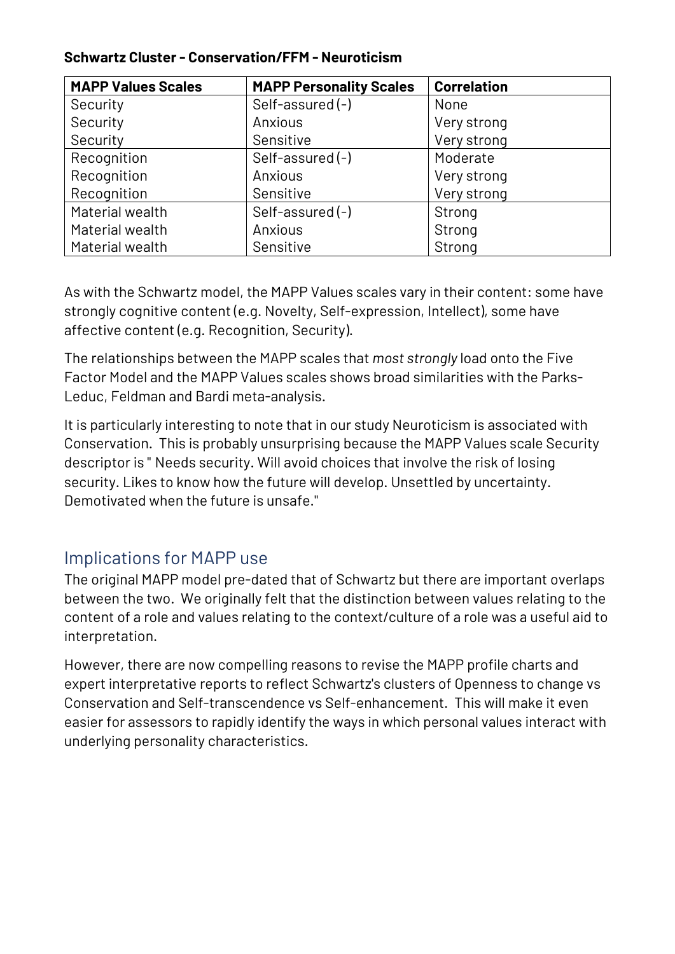| <b>MAPP Values Scales</b> | <b>MAPP Personality Scales</b> | <b>Correlation</b> |
|---------------------------|--------------------------------|--------------------|
| Security                  | Self-assured(-)                | None               |
| Security                  | Anxious                        | Very strong        |
| Security                  | Sensitive                      | Very strong        |
| Recognition               | Self-assured(-)                | Moderate           |
| Recognition               | Anxious                        | Very strong        |
| Recognition               | Sensitive                      | Very strong        |
| Material wealth           | Self-assured(-)                | Strong             |
| Material wealth           | Anxious                        | Strong             |
| Material wealth           | Sensitive                      | Strong             |

#### **Schwartz Cluster - Conservation/FFM - Neuroticism**

As with the Schwartz model, the MAPP Values scales vary in their content: some have strongly cognitive content (e.g. Novelty, Self-expression, Intellect), some have affective content (e.g. Recognition, Security).

The relationships between the MAPP scales that *most strongly* load onto the Five Factor Model and the MAPP Values scales shows broad similarities with the Parks-Leduc, Feldman and Bardi meta-analysis.

It is particularly interesting to note that in our study Neuroticism is associated with Conservation. This is probably unsurprising because the MAPP Values scale Security descriptor is " Needs security. Will avoid choices that involve the risk of losing security. Likes to know how the future will develop. Unsettled by uncertainty. Demotivated when the future is unsafe."

## Implications for MAPP use

The original MAPP model pre-dated that of Schwartz but there are important overlaps between the two. We originally felt that the distinction between values relating to the content of a role and values relating to the context/culture of a role was a useful aid to interpretation.

However, there are now compelling reasons to revise the MAPP profile charts and expert interpretative reports to reflect Schwartz's clusters of Openness to change vs Conservation and Self-transcendence vs Self-enhancement. This will make it even easier for assessors to rapidly identify the ways in which personal values interact with underlying personality characteristics.